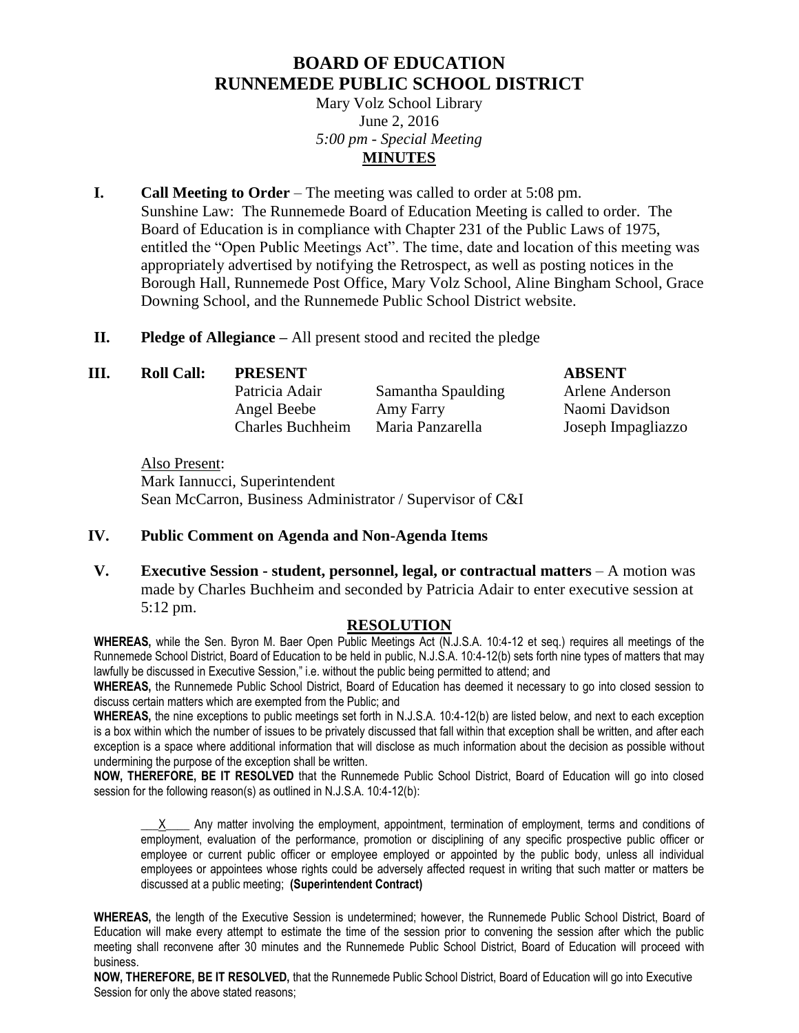## **BOARD OF EDUCATION RUNNEMEDE PUBLIC SCHOOL DISTRICT**

Mary Volz School Library June 2, 2016 *5:00 pm - Special Meeting* **MINUTES**

- **I. Call Meeting to Order** The meeting was called to order at 5:08 pm. Sunshine Law: The Runnemede Board of Education Meeting is called to order. The Board of Education is in compliance with Chapter 231 of the Public Laws of 1975, entitled the "Open Public Meetings Act". The time, date and location of this meeting was appropriately advertised by notifying the Retrospect, as well as posting notices in the Borough Hall, Runnemede Post Office, Mary Volz School, Aline Bingham School, Grace Downing School, and the Runnemede Public School District website.
- **II. Pledge of Allegiance –** All present stood and recited the pledge
- **III. Roll Call: PRESENT ABSENT**
	-

Patricia Adair Samantha Spaulding Arlene Anderson Angel Beebe Amy Farry Naomi Davidson Charles Buchheim Maria Panzarella Joseph Impagliazzo

Also Present: Mark Iannucci, Superintendent Sean McCarron, Business Administrator / Supervisor of C&I

## **IV. Public Comment on Agenda and Non-Agenda Items**

**V. Executive Session - student, personnel, legal, or contractual matters – A motion was** made by Charles Buchheim and seconded by Patricia Adair to enter executive session at 5:12 pm.

## **RESOLUTION**

**WHEREAS,** while the Sen. Byron M. Baer Open Public Meetings Act (N.J.S.A. 10:4-12 et seq.) requires all meetings of the Runnemede School District, Board of Education to be held in public, N.J.S.A. 10:4-12(b) sets forth nine types of matters that may lawfully be discussed in Executive Session," i.e. without the public being permitted to attend; and

**WHEREAS,** the Runnemede Public School District, Board of Education has deemed it necessary to go into closed session to discuss certain matters which are exempted from the Public; and

**WHEREAS,** the nine exceptions to public meetings set forth in N.J.S.A. 10:4-12(b) are listed below, and next to each exception is a box within which the number of issues to be privately discussed that fall within that exception shall be written, and after each exception is a space where additional information that will disclose as much information about the decision as possible without undermining the purpose of the exception shall be written.

**NOW, THEREFORE, BE IT RESOLVED** that the Runnemede Public School District, Board of Education will go into closed session for the following reason(s) as outlined in N.J.S.A. 10:4-12(b):

X\_\_\_\_ Any matter involving the employment, appointment, termination of employment, terms and conditions of employment, evaluation of the performance, promotion or disciplining of any specific prospective public officer or employee or current public officer or employee employed or appointed by the public body, unless all individual employees or appointees whose rights could be adversely affected request in writing that such matter or matters be discussed at a public meeting; **(Superintendent Contract)**

**WHEREAS,** the length of the Executive Session is undetermined; however, the Runnemede Public School District, Board of Education will make every attempt to estimate the time of the session prior to convening the session after which the public meeting shall reconvene after 30 minutes and the Runnemede Public School District, Board of Education will proceed with business.

**NOW, THEREFORE, BE IT RESOLVED,** that the Runnemede Public School District, Board of Education will go into Executive Session for only the above stated reasons;